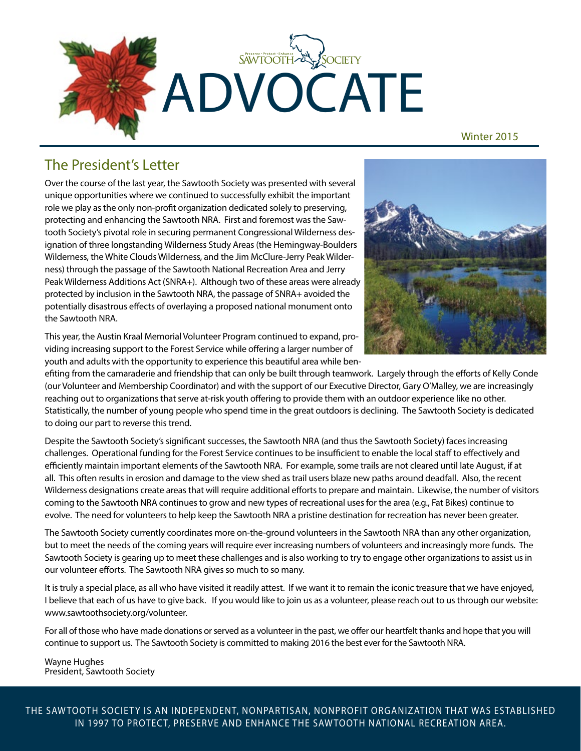

Winter 2015

### The President's Letter

Over the course of the last year, the Sawtooth Society was presented with several unique opportunities where we continued to successfully exhibit the important role we play as the only non-profit organization dedicated solely to preserving, protecting and enhancing the Sawtooth NRA. First and foremost was the Sawtooth Society's pivotal role in securing permanent Congressional Wilderness designation of three longstanding Wilderness Study Areas (the Hemingway-Boulders Wilderness, the White Clouds Wilderness, and the Jim McClure-Jerry Peak Wilderness) through the passage of the Sawtooth National Recreation Area and Jerry Peak Wilderness Additions Act (SNRA+). Although two of these areas were already protected by inclusion in the Sawtooth NRA, the passage of SNRA+ avoided the potentially disastrous effects of overlaying a proposed national monument onto the Sawtooth NRA.

This year, the Austin Kraal Memorial Volunteer Program continued to expand, providing increasing support to the Forest Service while offering a larger number of youth and adults with the opportunity to experience this beautiful area while ben-



efiting from the camaraderie and friendship that can only be built through teamwork. Largely through the efforts of Kelly Conde (our Volunteer and Membership Coordinator) and with the support of our Executive Director, Gary O'Malley, we are increasingly reaching out to organizations that serve at-risk youth offering to provide them with an outdoor experience like no other. Statistically, the number of young people who spend time in the great outdoors is declining. The Sawtooth Society is dedicated to doing our part to reverse this trend.

Despite the Sawtooth Society's significant successes, the Sawtooth NRA (and thus the Sawtooth Society) faces increasing challenges. Operational funding for the Forest Service continues to be insufficient to enable the local staff to effectively and efficiently maintain important elements of the Sawtooth NRA. For example, some trails are not cleared until late August, if at all. This often results in erosion and damage to the view shed as trail users blaze new paths around deadfall. Also, the recent Wilderness designations create areas that will require additional efforts to prepare and maintain. Likewise, the number of visitors coming to the Sawtooth NRA continues to grow and new types of recreational uses for the area (e.g., Fat Bikes) continue to evolve. The need for volunteers to help keep the Sawtooth NRA a pristine destination for recreation has never been greater.

The Sawtooth Society currently coordinates more on-the-ground volunteers in the Sawtooth NRA than any other organization, but to meet the needs of the coming years will require ever increasing numbers of volunteers and increasingly more funds. The Sawtooth Society is gearing up to meet these challenges and is also working to try to engage other organizations to assist us in our volunteer efforts. The Sawtooth NRA gives so much to so many.

It is truly a special place, as all who have visited it readily attest. If we want it to remain the iconic treasure that we have enjoyed, I believe that each of us have to give back. If you would like to join us as a volunteer, please reach out to us through our website: www.sawtoothsociety.org/volunteer.

For all of those who have made donations or served as a volunteer in the past, we offer our heartfelt thanks and hope that you will continue to support us. The Sawtooth Society is committed to making 2016 the best ever for the Sawtooth NRA.

Wayne Hughes President, Sawtooth Society

THE SAW TOOTH SOCIET Y IS AN INDEPENDENT, NONPARTISAN, NONPROFIT ORGANIZATION THAT WAS ESTABLISHED IN 1997 TO PROTECT, PRESERVE AND ENHANCE THE SAW TOOTH NATIONAL RECREATION AREA.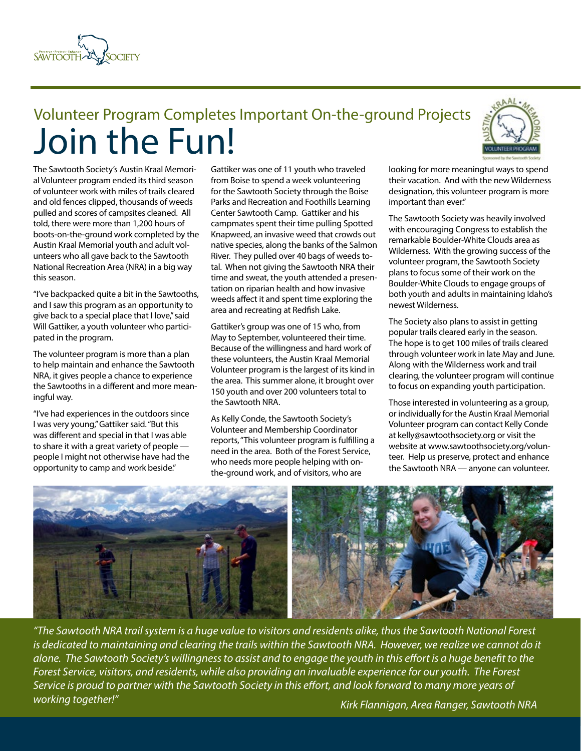

## Volunteer Program Completes Important On-the-ground Projects Join the Fun!

The Sawtooth Society's Austin Kraal Memorial Volunteer program ended its third season of volunteer work with miles of trails cleared and old fences clipped, thousands of weeds pulled and scores of campsites cleaned. All told, there were more than 1,200 hours of boots-on-the-ground work completed by the Austin Kraal Memorial youth and adult volunteers who all gave back to the Sawtooth National Recreation Area (NRA) in a big way this season.

"I've backpacked quite a bit in the Sawtooths, and I saw this program as an opportunity to give back to a special place that I love," said Will Gattiker, a youth volunteer who participated in the program.

The volunteer program is more than a plan to help maintain and enhance the Sawtooth NRA, it gives people a chance to experience the Sawtooths in a different and more meaningful way.

"I've had experiences in the outdoors since I was very young," Gattiker said. "But this was different and special in that I was able to share it with a great variety of people people I might not otherwise have had the opportunity to camp and work beside."

Gattiker was one of 11 youth who traveled from Boise to spend a week volunteering for the Sawtooth Society through the Boise Parks and Recreation and Foothills Learning Center Sawtooth Camp. Gattiker and his campmates spent their time pulling Spotted Knapweed, an invasive weed that crowds out native species, along the banks of the Salmon River. They pulled over 40 bags of weeds total. When not giving the Sawtooth NRA their time and sweat, the youth attended a presentation on riparian health and how invasive weeds affect it and spent time exploring the area and recreating at Redfish Lake.

Gattiker's group was one of 15 who, from May to September, volunteered their time. Because of the willingness and hard work of these volunteers, the Austin Kraal Memorial Volunteer program is the largest of its kind in the area. This summer alone, it brought over 150 youth and over 200 volunteers total to the Sawtooth NRA.

As Kelly Conde, the Sawtooth Society's Volunteer and Membership Coordinator reports, "This volunteer program is fulfilling a need in the area. Both of the Forest Service, who needs more people helping with onthe-ground work, and of visitors, who are



looking for more meaningful ways to spend their vacation. And with the new Wilderness designation, this volunteer program is more important than ever."

The Sawtooth Society was heavily involved with encouraging Congress to establish the remarkable Boulder-White Clouds area as Wilderness. With the growing success of the volunteer program, the Sawtooth Society plans to focus some of their work on the Boulder-White Clouds to engage groups of both youth and adults in maintaining Idaho's newest Wilderness.

The Society also plans to assist in getting popular trails cleared early in the season. The hope is to get 100 miles of trails cleared through volunteer work in late May and June. Along with the Wilderness work and trail clearing, the volunteer program will continue to focus on expanding youth participation.

Those interested in volunteering as a group, or individually for the Austin Kraal Memorial Volunteer program can contact Kelly Conde at kelly@sawtoothsociety.org or visit the website at www.sawtoothsociety.org/volunteer. Help us preserve, protect and enhance the Sawtooth NRA — anyone can volunteer.



*"The Sawtooth NRA trail system is a huge value to visitors and residents alike, thus the Sawtooth National Forest is dedicated to maintaining and clearing the trails within the Sawtooth NRA. However, we realize we cannot do it alone. The Sawtooth Society's willingness to assist and to engage the youth in this effort is a huge benefit to the Forest Service, visitors, and residents, while also providing an invaluable experience for our youth. The Forest Service is proud to partner with the Sawtooth Society in this effort, and look forward to many more years of working together!"*

 *Kirk Flannigan, Area Ranger, Sawtooth NRA*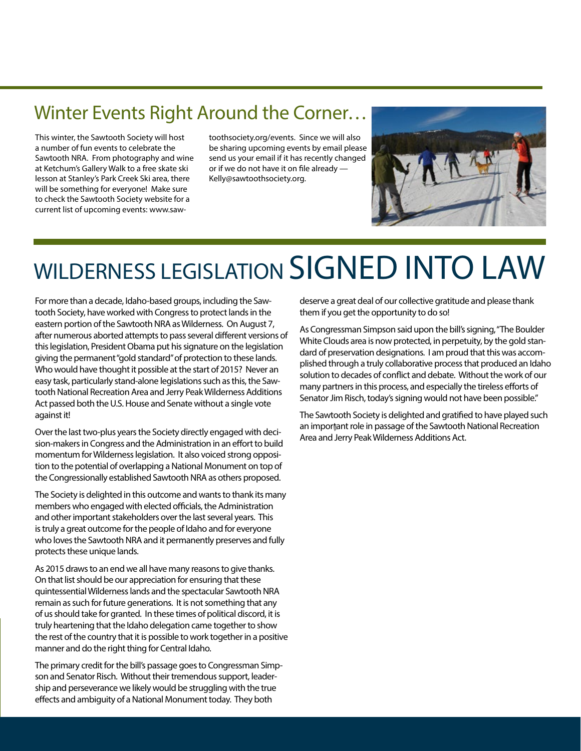## Winter Events Right Around the Corner…

This winter, the Sawtooth Society will host a number of fun events to celebrate the Sawtooth NRA. From photography and wine at Ketchum's Gallery Walk to a free skate ski lesson at Stanley's Park Creek Ski area, there will be something for everyone! Make sure to check the Sawtooth Society website for a current list of upcoming events: www.sawtoothsociety.org/events. Since we will also be sharing upcoming events by email please send us your email if it has recently changed or if we do not have it on file already — Kelly@sawtoothsociety.org.



# WILDERNESS LEGISLATION SIGNED INTO LAW

For more than a decade, Idaho-based groups, including the Sawtooth Society, have worked with Congress to protect lands in the eastern portion of the Sawtooth NRA as Wilderness. On August 7, after numerous aborted attempts to pass several different versions of this legislation, President Obama put his signature on the legislation giving the permanent "gold standard" of protection to these lands. Who would have thought it possible at the start of 2015? Never an easy task, particularly stand-alone legislations such as this, the Sawtooth National Recreation Area and Jerry Peak Wilderness Additions Act passed both the U.S. House and Senate without a single vote against it!

Over the last two-plus years the Society directly engaged with decision-makers in Congress and the Administration in an effort to build momentum for Wilderness legislation. It also voiced strong opposition to the potential of overlapping a National Monument on top of the Congressionally established Sawtooth NRA as others proposed.

The Society is delighted in this outcome and wants to thank its many members who engaged with elected officials, the Administration and other important stakeholders over the last several years. This is truly a great outcome for the people of Idaho and for everyone who loves the Sawtooth NRA and it permanently preserves and fully protects these unique lands.

As 2015 draws to an end we all have many reasons to give thanks. On that list should be our appreciation for ensuring that these quintessential Wilderness lands and the spectacular Sawtooth NRA remain as such for future generations. It is not something that any of us should take for granted. In these times of political discord, it is truly heartening that the Idaho delegation came together to show the rest of the country that it is possible to work together in a positive manner and do the right thing for Central Idaho.

The primary credit for the bill's passage goes to Congressman Simpson and Senator Risch. Without their tremendous support, leadership and perseverance we likely would be struggling with the true effects and ambiguity of a National Monument today. They both

deserve a great deal of our collective gratitude and please thank them if you get the opportunity to do so!

As Congressman Simpson said upon the bill's signing, "The Boulder White Clouds area is now protected, in perpetuity, by the gold standard of preservation designations. I am proud that this was accomplished through a truly collaborative process that produced an Idaho solution to decades of conflict and debate. Without the work of our many partners in this process, and especially the tireless efforts of Senator Jim Risch, today's signing would not have been possible."

The Sawtooth Society is delighted and gratified to have played such an important role in passage of the Sawtooth National Recreation Area and Jerry Peak Wilderness Additions Act.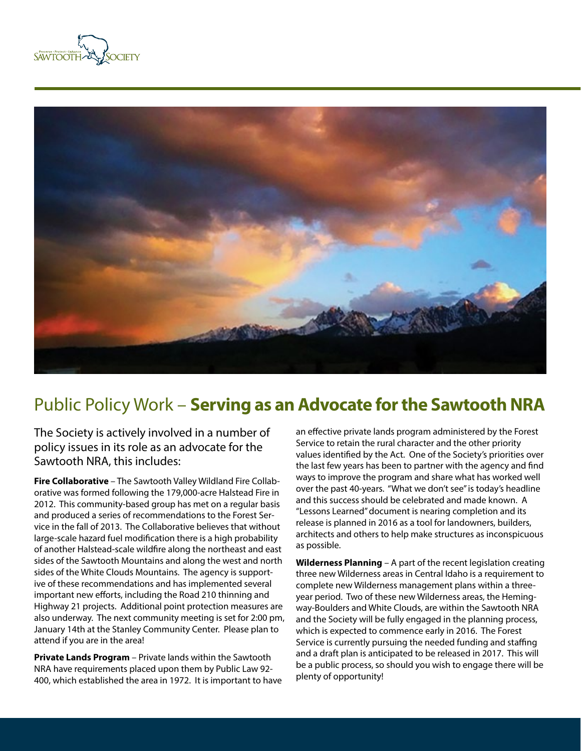



## Public Policy Work – **Serving as an Advocate for the Sawtooth NRA**

The Society is actively involved in a number of policy issues in its role as an advocate for the Sawtooth NRA, this includes:

**Fire Collaborative** – The Sawtooth Valley Wildland Fire Collaborative was formed following the 179,000-acre Halstead Fire in 2012. This community-based group has met on a regular basis and produced a series of recommendations to the Forest Service in the fall of 2013. The Collaborative believes that without large-scale hazard fuel modification there is a high probability of another Halstead-scale wildfire along the northeast and east sides of the Sawtooth Mountains and along the west and north sides of the White Clouds Mountains. The agency is supportive of these recommendations and has implemented several important new efforts, including the Road 210 thinning and Highway 21 projects. Additional point protection measures are also underway. The next community meeting is set for 2:00 pm, January 14th at the Stanley Community Center. Please plan to attend if you are in the area!

**Private Lands Program** – Private lands within the Sawtooth NRA have requirements placed upon them by Public Law 92- 400, which established the area in 1972. It is important to have an effective private lands program administered by the Forest Service to retain the rural character and the other priority values identified by the Act. One of the Society's priorities over the last few years has been to partner with the agency and find ways to improve the program and share what has worked well over the past 40-years. "What we don't see" is today's headline and this success should be celebrated and made known. A "Lessons Learned" document is nearing completion and its release is planned in 2016 as a tool for landowners, builders, architects and others to help make structures as inconspicuous as possible.

**Wilderness Planning** – A part of the recent legislation creating three new Wilderness areas in Central Idaho is a requirement to complete new Wilderness management plans within a threeyear period. Two of these new Wilderness areas, the Hemingway-Boulders and White Clouds, are within the Sawtooth NRA and the Society will be fully engaged in the planning process, which is expected to commence early in 2016. The Forest Service is currently pursuing the needed funding and staffing and a draft plan is anticipated to be released in 2017. This will be a public process, so should you wish to engage there will be plenty of opportunity!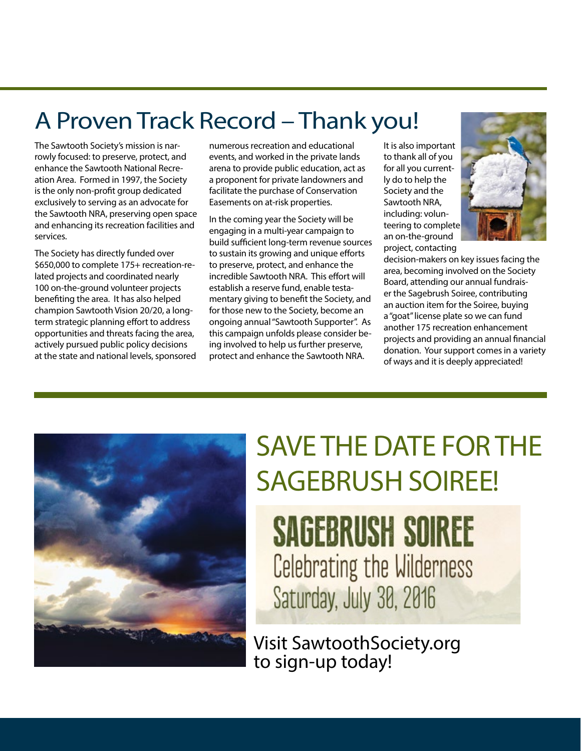## A Proven Track Record – Thank you!

The Sawtooth Society's mission is narrowly focused: to preserve, protect, and enhance the Sawtooth National Recreation Area. Formed in 1997, the Society is the only non-profit group dedicated exclusively to serving as an advocate for the Sawtooth NRA, preserving open space and enhancing its recreation facilities and services.

The Society has directly funded over \$650,000 to complete 175+ recreation-related projects and coordinated nearly 100 on-the-ground volunteer projects benefiting the area. It has also helped champion Sawtooth Vision 20/20, a longterm strategic planning effort to address opportunities and threats facing the area, actively pursued public policy decisions at the state and national levels, sponsored numerous recreation and educational events, and worked in the private lands arena to provide public education, act as a proponent for private landowners and facilitate the purchase of Conservation Easements on at-risk properties.

In the coming year the Society will be engaging in a multi-year campaign to build sufficient long-term revenue sources to sustain its growing and unique efforts to preserve, protect, and enhance the incredible Sawtooth NRA. This effort will establish a reserve fund, enable testamentary giving to benefit the Society, and for those new to the Society, become an ongoing annual "Sawtooth Supporter". As this campaign unfolds please consider being involved to help us further preserve, protect and enhance the Sawtooth NRA.

It is also important to thank all of you for all you currently do to help the Society and the Sawtooth NRA, including: volunteering to complete an on-the-ground project, contacting



decision-makers on key issues facing the area, becoming involved on the Society Board, attending our annual fundraiser the Sagebrush Soiree, contributing an auction item for the Soiree, buying a "goat" license plate so we can fund another 175 recreation enhancement projects and providing an annual financial donation. Your support comes in a variety of ways and it is deeply appreciated!



# SAVE THE DATE FOR THE SAGEBRUSH SOIREE!

**SAGEBRUSH SOIREE Celebrating the Wilderness** Saturday, July 30, 2016

Visit SawtoothSociety.org to sign-up today!